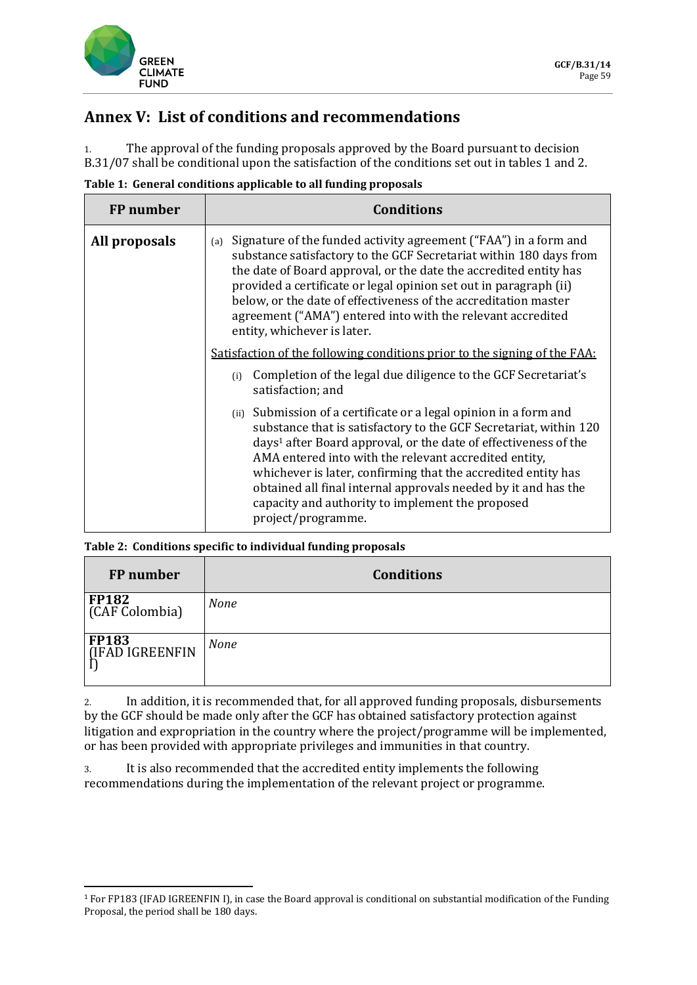

## **Annex V: List of conditions and recommendations**

1. The approval of the funding proposals approved by the Board pursuant to decision B.31/07 shall be conditional upon the satisfaction of the conditions set out in tables 1 and 2.

|  | Table 1: General conditions applicable to all funding proposals |  |  |
|--|-----------------------------------------------------------------|--|--|
|  |                                                                 |  |  |

| FP number     | <b>Conditions</b>                                                                                                                                                                                                                                                                                                                                                                                                                                                                              |  |  |
|---------------|------------------------------------------------------------------------------------------------------------------------------------------------------------------------------------------------------------------------------------------------------------------------------------------------------------------------------------------------------------------------------------------------------------------------------------------------------------------------------------------------|--|--|
| All proposals | Signature of the funded activity agreement ("FAA") in a form and<br>(a)<br>substance satisfactory to the GCF Secretariat within 180 days from<br>the date of Board approval, or the date the accredited entity has<br>provided a certificate or legal opinion set out in paragraph (ii)<br>below, or the date of effectiveness of the accreditation master<br>agreement ("AMA") entered into with the relevant accredited<br>entity, whichever is later.                                       |  |  |
|               | <u>Satisfaction of the following conditions prior to the signing of the FAA:</u>                                                                                                                                                                                                                                                                                                                                                                                                               |  |  |
|               | Completion of the legal due diligence to the GCF Secretariat's<br>(i)<br>satisfaction; and                                                                                                                                                                                                                                                                                                                                                                                                     |  |  |
|               | Submission of a certificate or a legal opinion in a form and<br>(ii)<br>substance that is satisfactory to the GCF Secretariat, within 120<br>days <sup>1</sup> after Board approval, or the date of effectiveness of the<br>AMA entered into with the relevant accredited entity,<br>whichever is later, confirming that the accredited entity has<br>obtained all final internal approvals needed by it and has the<br>capacity and authority to implement the proposed<br>project/programme. |  |  |

## **Table 2: Conditions specific to individual funding proposals**

| FP number                         | <b>Conditions</b> |
|-----------------------------------|-------------------|
| <b>FP182</b><br>(CAF Colombia)    | <b>None</b>       |
| <b>FP183</b><br>  (IFAD IGREENFIN | <b>None</b>       |

2. In addition, it is recommended that, for all approved funding proposals, disbursements by the GCF should be made only after the GCF has obtained satisfactory protection against litigation and expropriation in the country where the project/programme will be implemented, or has been provided with appropriate privileges and immunities in that country.

3. It is also recommended that the accredited entity implements the following recommendations during the implementation of the relevant project or programme.

<sup>1</sup> For FP183 (IFAD IGREENFIN I), in case the Board approval is conditional on substantial modification of the Funding Proposal, the period shall be 180 days.